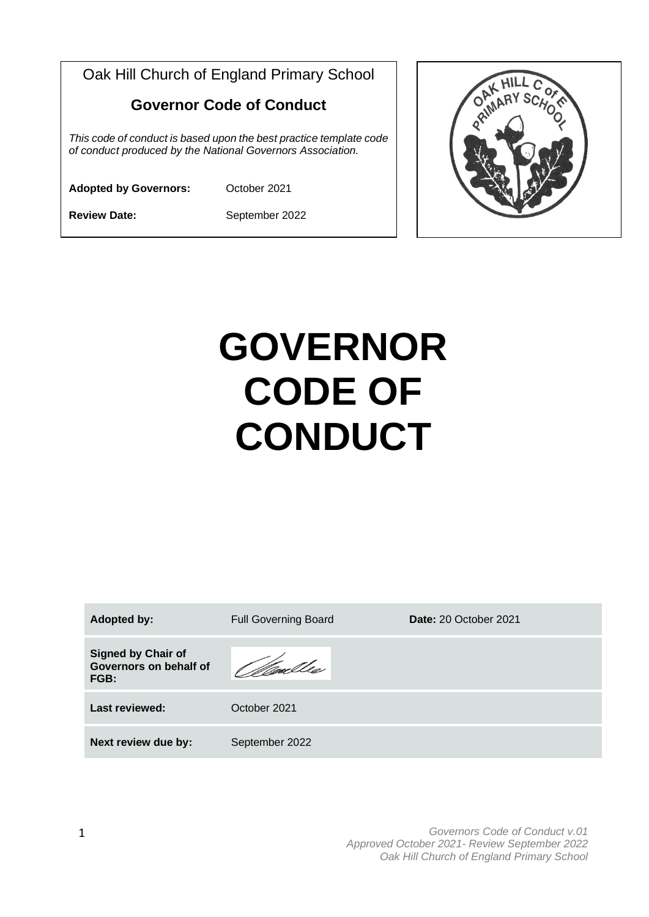Oak Hill Church of England Primary School **Governor Code of Conduct** *This code of conduct is based upon the best practice template code of conduct produced by the National Governors Association.* **Adopted by Governors:** October 2021

**Review Date:** September 2022



| <b>Adopted by:</b>                                          | <b>Full Governing Board</b> | Date: 20 October 2021 |
|-------------------------------------------------------------|-----------------------------|-----------------------|
| <b>Signed by Chair of</b><br>Governors on behalf of<br>FGB: | Woulles                     |                       |
| Last reviewed:                                              | October 2021                |                       |
| Next review due by:                                         | September 2022              |                       |

*Governors Code of Conduct v.01 Approved October 2021- Review September 2022 Oak Hill Church of England Primary School*

OAK HIL OAK HILL C<br>OAMARY SC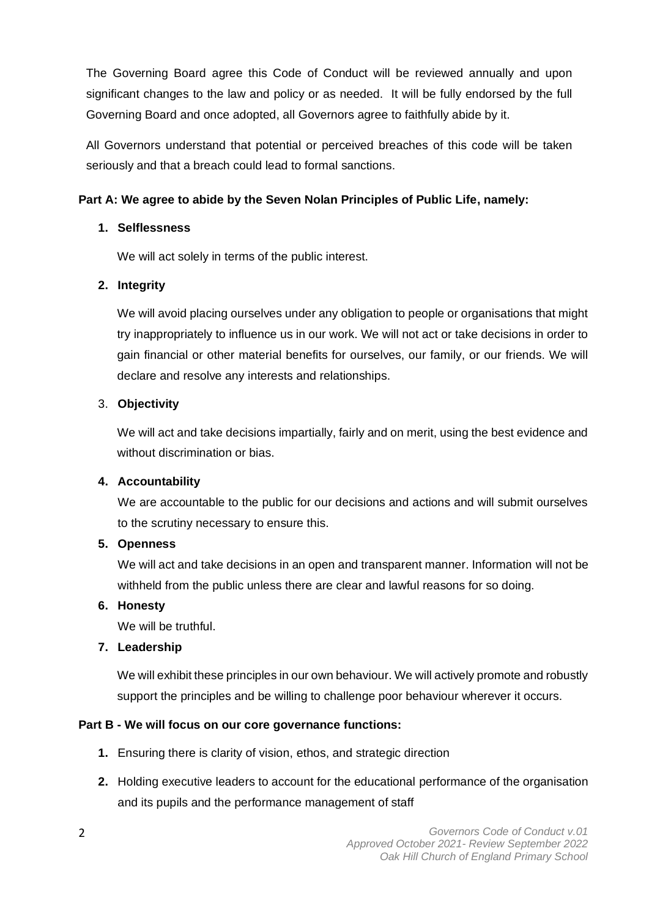The Governing Board agree this Code of Conduct will be reviewed annually and upon significant changes to the law and policy or as needed. It will be fully endorsed by the full Governing Board and once adopted, all Governors agree to faithfully abide by it.

All Governors understand that potential or perceived breaches of this code will be taken seriously and that a breach could lead to formal sanctions.

# **Part A: We agree to abide by the Seven Nolan Principles of Public Life, namely:**

# **1. Selflessness**

We will act solely in terms of the public interest.

# **2. Integrity**

We will avoid placing ourselves under any obligation to people or organisations that might try inappropriately to influence us in our work. We will not act or take decisions in order to gain financial or other material benefits for ourselves, our family, or our friends. We will declare and resolve any interests and relationships.

# 3. **Objectivity**

We will act and take decisions impartially, fairly and on merit, using the best evidence and without discrimination or bias.

## **4. Accountability**

We are accountable to the public for our decisions and actions and will submit ourselves to the scrutiny necessary to ensure this.

## **5. Openness**

We will act and take decisions in an open and transparent manner. Information will not be withheld from the public unless there are clear and lawful reasons for so doing.

## **6. Honesty**

We will be truthful.

# **7. Leadership**

We will exhibit these principles in our own behaviour. We will actively promote and robustly support the principles and be willing to challenge poor behaviour wherever it occurs.

# **Part B - We will focus on our core governance functions:**

- **1.** Ensuring there is clarity of vision, ethos, and strategic direction
- **2.** Holding executive leaders to account for the educational performance of the organisation and its pupils and the performance management of staff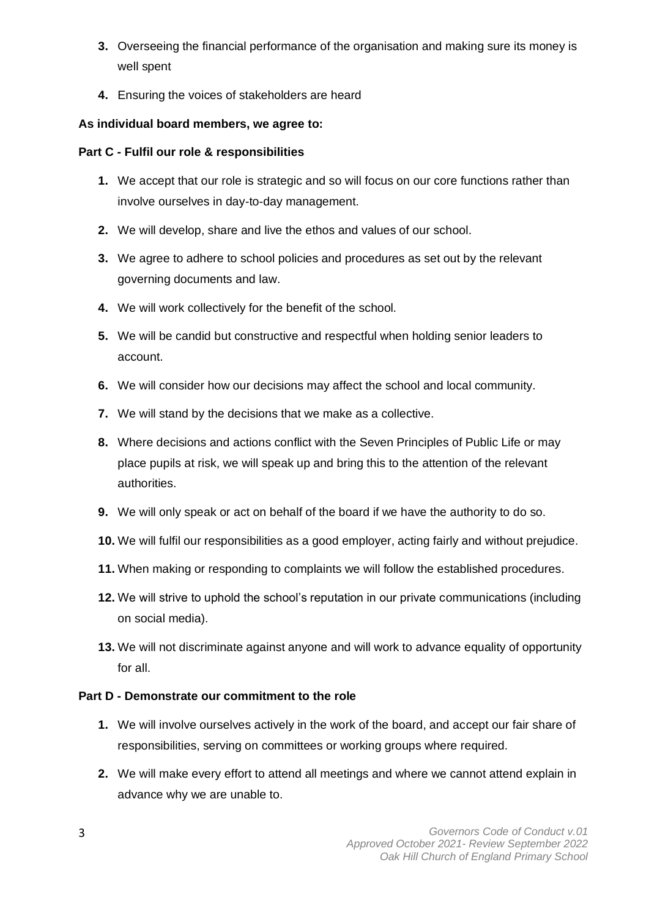- **3.** Overseeing the financial performance of the organisation and making sure its money is well spent
- **4.** Ensuring the voices of stakeholders are heard

# **As individual board members, we agree to:**

# **Part C - Fulfil our role & responsibilities**

- **1.** We accept that our role is strategic and so will focus on our core functions rather than involve ourselves in day-to-day management.
- **2.** We will develop, share and live the ethos and values of our school.
- **3.** We agree to adhere to school policies and procedures as set out by the relevant governing documents and law.
- **4.** We will work collectively for the benefit of the school.
- **5.** We will be candid but constructive and respectful when holding senior leaders to account.
- **6.** We will consider how our decisions may affect the school and local community.
- **7.** We will stand by the decisions that we make as a collective.
- **8.** Where decisions and actions conflict with the Seven Principles of Public Life or may place pupils at risk, we will speak up and bring this to the attention of the relevant authorities.
- **9.** We will only speak or act on behalf of the board if we have the authority to do so.
- **10.** We will fulfil our responsibilities as a good employer, acting fairly and without prejudice.
- **11.** When making or responding to complaints we will follow the established procedures.
- **12.** We will strive to uphold the school's reputation in our private communications (including on social media).
- **13.** We will not discriminate against anyone and will work to advance equality of opportunity for all.

## **Part D - Demonstrate our commitment to the role**

- **1.** We will involve ourselves actively in the work of the board, and accept our fair share of responsibilities, serving on committees or working groups where required.
- **2.** We will make every effort to attend all meetings and where we cannot attend explain in advance why we are unable to.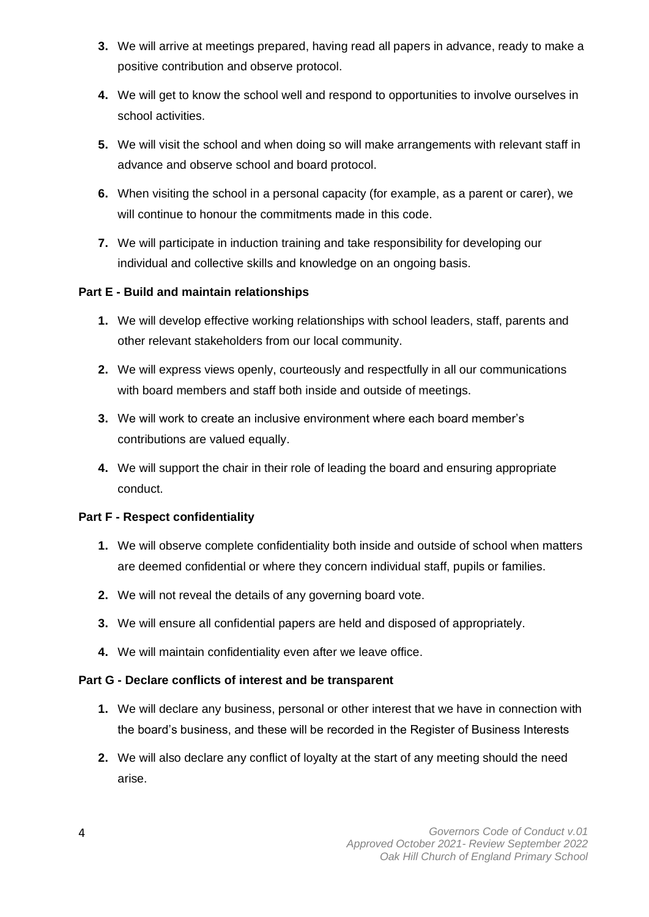- **3.** We will arrive at meetings prepared, having read all papers in advance, ready to make a positive contribution and observe protocol.
- **4.** We will get to know the school well and respond to opportunities to involve ourselves in school activities.
- **5.** We will visit the school and when doing so will make arrangements with relevant staff in advance and observe school and board protocol.
- **6.** When visiting the school in a personal capacity (for example, as a parent or carer), we will continue to honour the commitments made in this code.
- **7.** We will participate in induction training and take responsibility for developing our individual and collective skills and knowledge on an ongoing basis.

## **Part E - Build and maintain relationships**

- **1.** We will develop effective working relationships with school leaders, staff, parents and other relevant stakeholders from our local community.
- **2.** We will express views openly, courteously and respectfully in all our communications with board members and staff both inside and outside of meetings.
- **3.** We will work to create an inclusive environment where each board member's contributions are valued equally.
- **4.** We will support the chair in their role of leading the board and ensuring appropriate conduct.

#### **Part F - Respect confidentiality**

- **1.** We will observe complete confidentiality both inside and outside of school when matters are deemed confidential or where they concern individual staff, pupils or families.
- **2.** We will not reveal the details of any governing board vote.
- **3.** We will ensure all confidential papers are held and disposed of appropriately.
- **4.** We will maintain confidentiality even after we leave office.

#### **Part G - Declare conflicts of interest and be transparent**

- **1.** We will declare any business, personal or other interest that we have in connection with the board's business, and these will be recorded in the Register of Business Interests
- **2.** We will also declare any conflict of loyalty at the start of any meeting should the need arise.